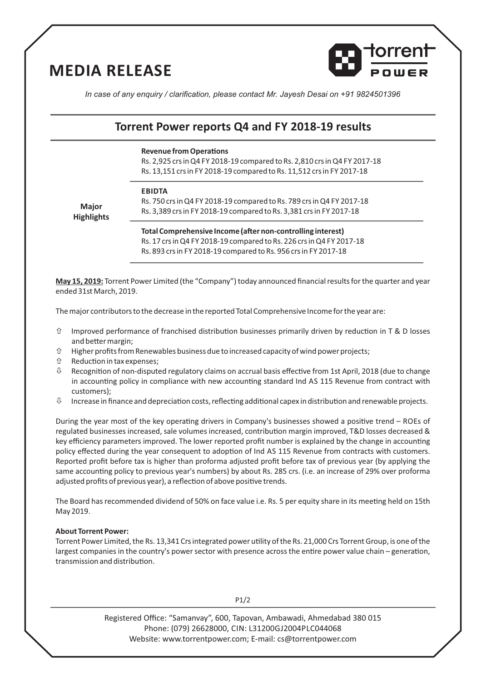## **MEDIA RELEASE**



*In case of any enquiry / clarification, please contact Mr. Jayesh Desai on +91 9824501396*

### **Torrent Power reports Q4 and FY 2018-19 results**

#### **Revenue from Operations**

Rs. 2,925 crs in Q4 FY 2018-19 compared to Rs. 2,810 crs in Q4 FY 2017-18 Rs. 13,151 crs in FY 2018-19 compared to Rs. 11,512 crs in FY 2017-18

#### **EBIDTA**

**Major Highlights** Rs. 750 crs in Q4 FY 2018-19 compared to Rs. 789 crs in Q4 FY 2017-18 Rs. 3,389 crs in FY 2018-19 compared to Rs. 3,381 crs in FY 2017-18

**Total Comprehensive Income (after non-controlling interest)** Rs. 17 crs in Q4 FY 2018-19 compared to Rs. 226 crs in Q4 FY 2017-18 Rs. 893 crs in FY 2018-19 compared to Rs. 956 crs in FY 2017-18

**May 15, 2019:** Torrent Power Limited (the "Company") today announced financial results for the quarter and year ended 31st March, 2019.

The major contributors to the decrease in the reported Total Comprehensive Income for the year are:

- $\hat{U}$  Improved performance of franchised distribution businesses primarily driven by reduction in T & D losses and better margin;
- $\hat{U}$  Higher profits from Renewables business due to increased capacity of wind power projects;
- $\hat{U}$  Reduction in tax expenses;
- $\updownarrow$  Recognition of non-disputed regulatory claims on accrual basis effective from 1st April, 2018 (due to change in accounting policy in compliance with new accounting standard Ind AS 115 Revenue from contract with customers);
- $\uplus$  Increase in finance and depreciation costs, reflecting additional capex in distribution and renewable projects.

During the year most of the key operating drivers in Company's businesses showed a positive trend – ROEs of regulated businesses increased, sale volumes increased, contribution margin improved, T&D losses decreased & key efficiency parameters improved. The lower reported profit number is explained by the change in accounting policy effected during the year consequent to adoption of Ind AS 115 Revenue from contracts with customers. Reported profit before tax is higher than proforma adjusted profit before tax of previous year (by applying the same accounting policy to previous year's numbers) by about Rs. 285 crs. (i.e. an increase of 29% over proforma adjusted profits of previous year), a reflection of above positive trends.

The Board has recommended dividend of 50% on face value i.e. Rs. 5 per equity share in its meeting held on 15th May 2019.

#### **About Torrent Power:**

Torrent Power Limited, the Rs. 13,341 Crs integrated power utility of the Rs. 21,000 Crs Torrent Group, is one of the largest companies in the country's power sector with presence across the entire power value chain – generation, transmission and distribution.

P1/2

Registered Office: "Samanvay", 600, Tapovan, Ambawadi, Ahmedabad 380 015 Phone: (079) 26628000, CIN: L31200GJ2004PLC044068 Website: www.torrentpower.com; E-mail: cs@torrentpower.com